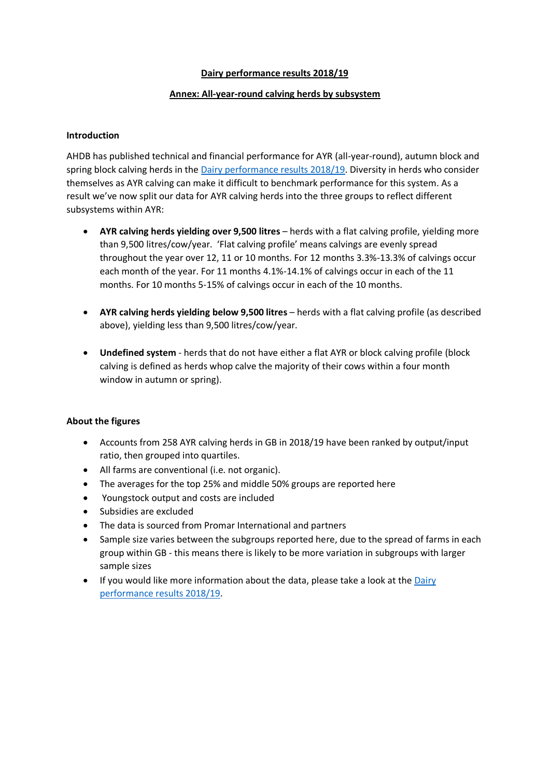#### **Dairy performance results 2018/19**

### **Annex: All-year-round calving herds by subsystem**

#### **Introduction**

AHDB has published technical and financial performance for AYR (all-year-round), autumn block and spring block calving herds in the [Dairy performance results 2018/19.](https://ahdb.org.uk/knowledge-library/dairy-performance-results-2018-19) Diversity in herds who consider themselves as AYR calving can make it difficult to benchmark performance for this system. As a result we've now split our data for AYR calving herds into the three groups to reflect different subsystems within AYR:

- **AYR calving herds yielding over 9,500 litres** herds with a flat calving profile, yielding more than 9,500 litres/cow/year. 'Flat calving profile' means calvings are evenly spread throughout the year over 12, 11 or 10 months. For 12 months 3.3%-13.3% of calvings occur each month of the year. For 11 months 4.1%-14.1% of calvings occur in each of the 11 months. For 10 months 5-15% of calvings occur in each of the 10 months.
- **AYR calving herds yielding below 9,500 litres** herds with a flat calving profile (as described above), yielding less than 9,500 litres/cow/year.
- **Undefined system** herds that do not have either a flat AYR or block calving profile (block calving is defined as herds whop calve the majority of their cows within a four month window in autumn or spring).

#### **About the figures**

- Accounts from 258 AYR calving herds in GB in 2018/19 have been ranked by output/input ratio, then grouped into quartiles.
- All farms are conventional (i.e. not organic).
- The averages for the top 25% and middle 50% groups are reported here
- Youngstock output and costs are included
- Subsidies are excluded
- The data is sourced from Promar International and partners
- Sample size varies between the subgroups reported here, due to the spread of farms in each group within GB - this means there is likely to be more variation in subgroups with larger sample sizes
- If you would like more information about the data, please take a look at the [Dairy](https://ahdb.org.uk/knowledge-library/dairy-performance-results-2018-19)  [performance results 2018/19.](https://ahdb.org.uk/knowledge-library/dairy-performance-results-2018-19)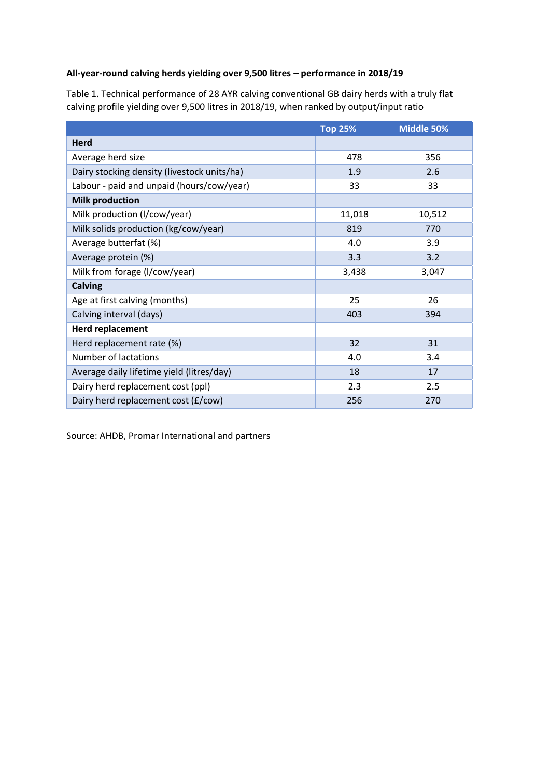# **All-year-round calving herds yielding over 9,500 litres – performance in 2018/19**

Table 1. Technical performance of 28 AYR calving conventional GB dairy herds with a truly flat calving profile yielding over 9,500 litres in 2018/19, when ranked by output/input ratio

|                                             | <b>Top 25%</b> | Middle 50% |
|---------------------------------------------|----------------|------------|
| <b>Herd</b>                                 |                |            |
| Average herd size                           | 478            | 356        |
| Dairy stocking density (livestock units/ha) | 1.9            | 2.6        |
| Labour - paid and unpaid (hours/cow/year)   | 33             | 33         |
| <b>Milk production</b>                      |                |            |
| Milk production (I/cow/year)                | 11,018         | 10,512     |
| Milk solids production (kg/cow/year)        | 819            | 770        |
| Average butterfat (%)                       | 4.0            | 3.9        |
| Average protein (%)                         | 3.3            | 3.2        |
| Milk from forage (I/cow/year)               | 3,438          | 3,047      |
| <b>Calving</b>                              |                |            |
| Age at first calving (months)               | 25             | 26         |
| Calving interval (days)                     | 403            | 394        |
| <b>Herd replacement</b>                     |                |            |
| Herd replacement rate (%)                   | 32             | 31         |
| <b>Number of lactations</b>                 | 4.0            | 3.4        |
| Average daily lifetime yield (litres/day)   | 18             | 17         |
| Dairy herd replacement cost (ppl)           | 2.3            | 2.5        |
| Dairy herd replacement cost (£/cow)         | 256            | 270        |

Source: AHDB, Promar International and partners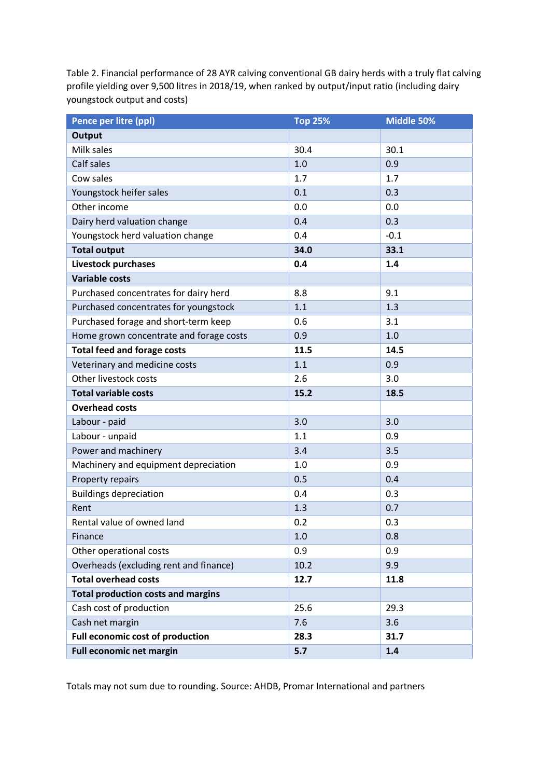Table 2. Financial performance of 28 AYR calving conventional GB dairy herds with a truly flat calving profile yielding over 9,500 litres in 2018/19, when ranked by output/input ratio (including dairy youngstock output and costs)

| Pence per litre (ppl)                     | <b>Top 25%</b> | Middle 50% |
|-------------------------------------------|----------------|------------|
| Output                                    |                |            |
| Milk sales                                | 30.4           | 30.1       |
| Calf sales                                | 1.0            | 0.9        |
| Cow sales                                 | 1.7            | 1.7        |
| Youngstock heifer sales                   | 0.1            | 0.3        |
| Other income                              | 0.0            | 0.0        |
| Dairy herd valuation change               | 0.4            | 0.3        |
| Youngstock herd valuation change          | 0.4            | $-0.1$     |
| <b>Total output</b>                       | 34.0           | 33.1       |
| Livestock purchases                       | 0.4            | 1.4        |
| <b>Variable costs</b>                     |                |            |
| Purchased concentrates for dairy herd     | 8.8            | 9.1        |
| Purchased concentrates for youngstock     | 1.1            | 1.3        |
| Purchased forage and short-term keep      | 0.6            | 3.1        |
| Home grown concentrate and forage costs   | 0.9            | 1.0        |
| <b>Total feed and forage costs</b>        | 11.5           | 14.5       |
| Veterinary and medicine costs             | 1.1            | 0.9        |
| Other livestock costs                     | 2.6            | 3.0        |
| <b>Total variable costs</b>               | 15.2           | 18.5       |
| <b>Overhead costs</b>                     |                |            |
| Labour - paid                             | 3.0            | 3.0        |
| Labour - unpaid                           | 1.1            | 0.9        |
| Power and machinery                       | 3.4            | 3.5        |
| Machinery and equipment depreciation      | 1.0            | 0.9        |
| Property repairs                          | 0.5            | 0.4        |
| <b>Buildings depreciation</b>             | 0.4            | 0.3        |
| Rent                                      | 1.3            | 0.7        |
| Rental value of owned land                | 0.2            | 0.3        |
| Finance                                   | 1.0            | 0.8        |
| Other operational costs                   | 0.9            | 0.9        |
| Overheads (excluding rent and finance)    | 10.2           | 9.9        |
| <b>Total overhead costs</b>               | 12.7           | 11.8       |
| <b>Total production costs and margins</b> |                |            |
| Cash cost of production                   | 25.6           | 29.3       |
| Cash net margin                           | 7.6            | 3.6        |
| Full economic cost of production          | 28.3           | 31.7       |
| <b>Full economic net margin</b>           | 5.7            | 1.4        |

Totals may not sum due to rounding. Source: AHDB, Promar International and partners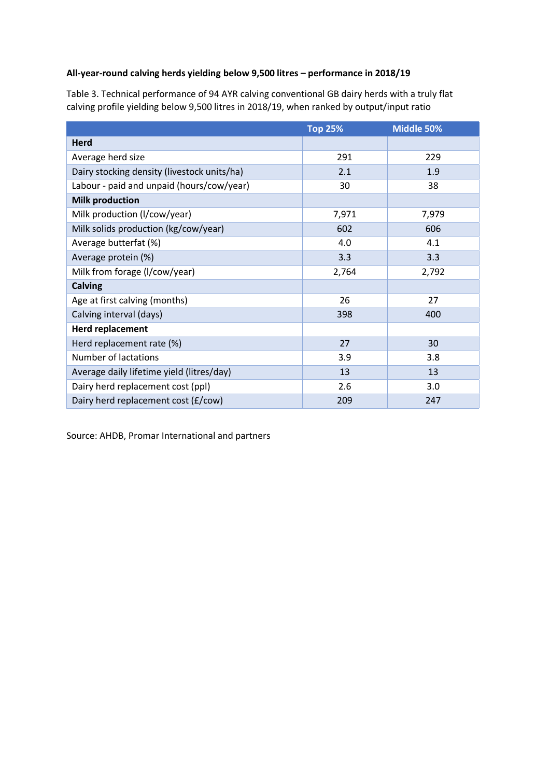# **All-year-round calving herds yielding below 9,500 litres – performance in 2018/19**

Table 3. Technical performance of 94 AYR calving conventional GB dairy herds with a truly flat calving profile yielding below 9,500 litres in 2018/19, when ranked by output/input ratio

|                                             | <b>Top 25%</b> | Middle 50% |
|---------------------------------------------|----------------|------------|
| <b>Herd</b>                                 |                |            |
| Average herd size                           | 291            | 229        |
| Dairy stocking density (livestock units/ha) | 2.1            | 1.9        |
| Labour - paid and unpaid (hours/cow/year)   | 30             | 38         |
| <b>Milk production</b>                      |                |            |
| Milk production (I/cow/year)                | 7,971          | 7,979      |
| Milk solids production (kg/cow/year)        | 602            | 606        |
| Average butterfat (%)                       | 4.0            | 4.1        |
| Average protein (%)                         | 3.3            | 3.3        |
| Milk from forage (I/cow/year)               | 2,764          | 2,792      |
| <b>Calving</b>                              |                |            |
| Age at first calving (months)               | 26             | 27         |
| Calving interval (days)                     | 398            | 400        |
| <b>Herd replacement</b>                     |                |            |
| Herd replacement rate (%)                   | 27             | 30         |
| <b>Number of lactations</b>                 | 3.9            | 3.8        |
| Average daily lifetime yield (litres/day)   | 13             | 13         |
| Dairy herd replacement cost (ppl)           | 2.6            | 3.0        |
| Dairy herd replacement cost (£/cow)         | 209            | 247        |

Source: AHDB, Promar International and partners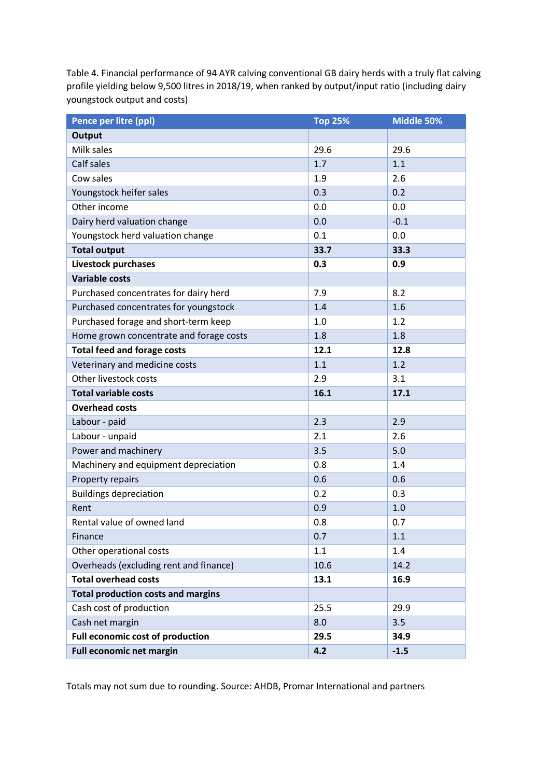Table 4. Financial performance of 94 AYR calving conventional GB dairy herds with a truly flat calving profile yielding below 9,500 litres in 2018/19, when ranked by output/input ratio (including dairy youngstock output and costs)

| Pence per litre (ppl)                     | <b>Top 25%</b> | Middle 50% |
|-------------------------------------------|----------------|------------|
| <b>Output</b>                             |                |            |
| Milk sales                                | 29.6           | 29.6       |
| Calf sales                                | 1.7            | 1.1        |
| Cow sales                                 | 1.9            | 2.6        |
| Youngstock heifer sales                   | 0.3            | 0.2        |
| Other income                              | 0.0            | 0.0        |
| Dairy herd valuation change               | 0.0            | $-0.1$     |
| Youngstock herd valuation change          | 0.1            | 0.0        |
| <b>Total output</b>                       | 33.7           | 33.3       |
| <b>Livestock purchases</b>                | 0.3            | 0.9        |
| <b>Variable costs</b>                     |                |            |
| Purchased concentrates for dairy herd     | 7.9            | 8.2        |
| Purchased concentrates for youngstock     | 1.4            | 1.6        |
| Purchased forage and short-term keep      | 1.0            | 1.2        |
| Home grown concentrate and forage costs   | 1.8            | 1.8        |
| <b>Total feed and forage costs</b>        | 12.1           | 12.8       |
| Veterinary and medicine costs             | 1.1            | 1.2        |
| Other livestock costs                     | 2.9            | 3.1        |
| <b>Total variable costs</b>               | 16.1           | 17.1       |
| <b>Overhead costs</b>                     |                |            |
| Labour - paid                             | 2.3            | 2.9        |
| Labour - unpaid                           | 2.1            | 2.6        |
| Power and machinery                       | 3.5            | 5.0        |
| Machinery and equipment depreciation      | 0.8            | 1.4        |
| Property repairs                          | 0.6            | 0.6        |
| <b>Buildings depreciation</b>             | 0.2            | 0.3        |
| Rent                                      | 0.9            | 1.0        |
| Rental value of owned land                | 0.8            | 0.7        |
| Finance                                   | 0.7            | 1.1        |
| Other operational costs                   | 1.1            | 1.4        |
| Overheads (excluding rent and finance)    | 10.6           | 14.2       |
| <b>Total overhead costs</b>               | 13.1           | 16.9       |
| <b>Total production costs and margins</b> |                |            |
| Cash cost of production                   | 25.5           | 29.9       |
| Cash net margin                           | 8.0            | 3.5        |
| Full economic cost of production          | 29.5           | 34.9       |
| <b>Full economic net margin</b>           | 4.2            | $-1.5$     |

Totals may not sum due to rounding. Source: AHDB, Promar International and partners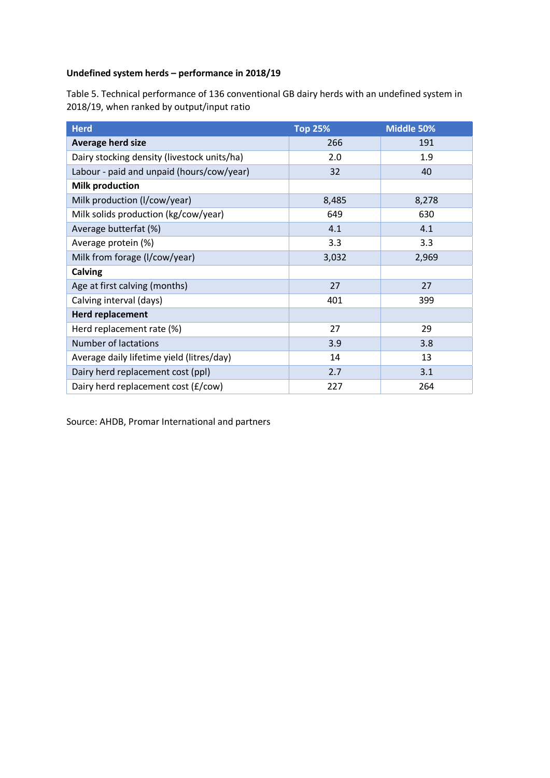### **Undefined system herds – performance in 2018/19**

Table 5. Technical performance of 136 conventional GB dairy herds with an undefined system in 2018/19, when ranked by output/input ratio

| <b>Herd</b>                                 | <b>Top 25%</b> | Middle 50% |
|---------------------------------------------|----------------|------------|
| <b>Average herd size</b>                    | 266            | 191        |
| Dairy stocking density (livestock units/ha) | 2.0            | 1.9        |
| Labour - paid and unpaid (hours/cow/year)   | 32             | 40         |
| <b>Milk production</b>                      |                |            |
| Milk production (I/cow/year)                | 8,485          | 8,278      |
| Milk solids production (kg/cow/year)        | 649            | 630        |
| Average butterfat (%)                       | 4.1            | 4.1        |
| Average protein (%)                         | 3.3            | 3.3        |
| Milk from forage (I/cow/year)               | 3,032          | 2,969      |
| Calving                                     |                |            |
| Age at first calving (months)               | 27             | 27         |
| Calving interval (days)                     | 401            | 399        |
| <b>Herd replacement</b>                     |                |            |
| Herd replacement rate (%)                   | 27             | 29         |
| <b>Number of lactations</b>                 | 3.9            | 3.8        |
| Average daily lifetime yield (litres/day)   | 14             | 13         |
| Dairy herd replacement cost (ppl)           | 2.7            | 3.1        |
| Dairy herd replacement cost (£/cow)         | 227            | 264        |

Source: AHDB, Promar International and partners